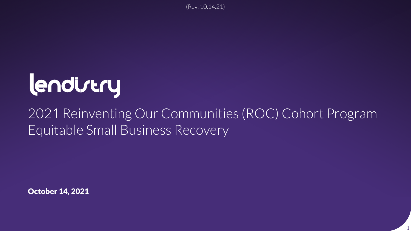(Rev. 10.14.21)

# lendirery

### 2021 Reinventing Our Communities (ROC) Cohort Program Equitable Small Business Recovery

1

October 14, 2021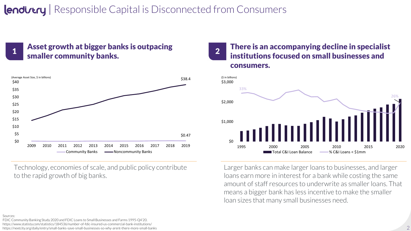### **Indirtry** | Responsible Capital is Disconnected from Consumers



# Asset growth at bigger banks is outpacing



Technology, economies of scale, and public policy contribute to the rapid growth of big banks.

#### $\frac{1}{1}$  Asset growth at bigger banks is outpacing and  $\begin{array}{|l|l|} \hline \end{array}$  There is an accompanying decline in specialist smaller community banks. institutions focused on small businesses and consumers. 2



Larger banks can make larger loans to businesses, and larger loans earn more in interest for a bank while costing the same amount of staff resources to underwrite as smaller loans. That means a bigger bank has less incentive to make the smaller loan sizes that many small businesses need.

#### Sources:

FDIC Community Banking Study 2020 and FDIC Loans to Small Businesses and Farms 1995-Q4'20. https://www.statista.com/statistics/184536/number-of-fdic-insured-us-commercial-bank-institutions/

https://nextcity.org/daily/entry/small-banks-save-small-businesses-so-why-arent-there-more-small-banks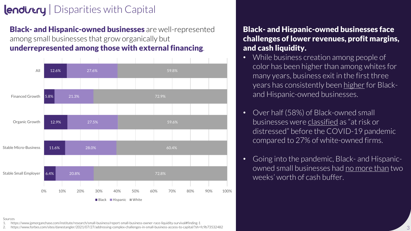### $l$ endi $r$ try | Disparities with Capital

**Black- and Hispanic-owned businesses** are well-represented among small businesses that grow organically but underrepresented among those with external financing.



### Black- and Hispanic-owned businesses face challenges of lower revenues, profit margins, and cash liquidity.

- While business creation among people of color has been higher than among whites for many years, business exit in the first three years has consistently been [higher](https://www.jpmorganchase.com/institute/research/small-business/report-small-business-owner-race-liquidity-survival) for Blackand Hispanic-owned businesses.
- Over half (58%) of Black-owned small businesses were [classified](https://www.fedsmallbusiness.org/medialibrary/FedSmallBusiness/files/2020/DoubleJeopardy_COVID19andBlackOwnedBusinesses) as "at risk or distressed" before the COVID-19 pandemic compared to 27% of white-owned firms.
- Going into the pandemic, Black- and Hispanicowned small businesses had [no more than](https://www.jpmorganchase.com/institute/research/small-business/report-small-business-owner-race-liquidity-survival) two weeks' worth of cash buffer.

Sources

1. https://www.jpmorganchase.com/institute/research/small-business/report-small-business-owner-race-liquidity-survival#finding-1

2. https://www.forbes.com/sites/danestangler/2021/07/27/addressing-complex-challenges-in-small-business-access-to-capital/?sh=fc9b73532482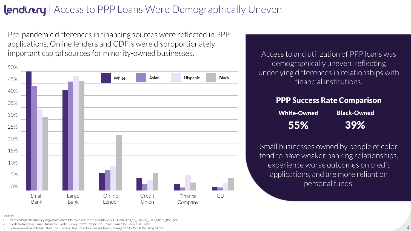### **Indirtry** Access to PPP Loans Were Demographically Uneven

Pre-pandemic differences in financing sources were reflected in PPP applications. Online lenders and CDFIs were disproportionately important capital sources for minority-owned businesses. Access to and utilization of PPP loans was



demographically uneven, reflecting underlying differences in relationships with financial institutions.

#### PPP Success Rate Comparison

| <b>White-Owned</b> | <b>Black-Owned</b> |
|--------------------|--------------------|
| 55%                | 39%                |

Small businesses owned by people of color tend to have weaker banking relationships, experience worse outcomes on credit applications, and are more reliant on personal funds.

#### Sources

- 1. https://bipartisanpolicy.org/download/?file=/wp-content/uploads/2021/07/Access\_to\_Capital\_Fact\_Sheet\_RV2.pdf
- 2. Federal Reserve, Small Business Credit Survey: 2021 Report on Firms Owned by People of Color.
- 3. Reimagine Main Street, "Back to Business: Are Small Businesses Rebounding from COVID-19?" May 2021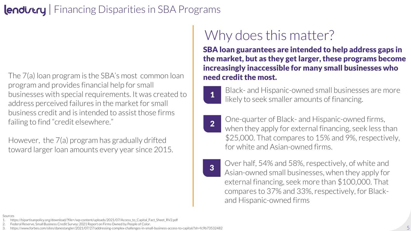### **Indirtry** Financing Disparities in SBA Programs

The 7(a) loan program is the SBA's most common loan program and provides financial help for small businesses with special requirements. It was created to address perceived failures in the market for small business credit and is intended to assist those firms failing to find "credit elsewhere."

However, the 7(a) program has gradually drifted toward larger loan amounts every year since 2015.

## Why does this matter?

SBA loan guarantees are intended to help address gaps in the market, but as they get larger, these programs become increasingly inaccessible for many small businesses who need credit the most.



- Black- and Hispanic-owned small businesses are more **1** Black and insparite owned small businesses
- 2
	- One-quarter of Black- and Hispanic-owned firms, when they apply for external financing, seek less than \$25,000. That compares to 15% and 9%, respectively, for white and Asian-owned firms.
- 3

Over half, 54% and 58%, respectively, of white and Asian-owned small businesses, when they apply for external financing, seek more than \$100,000. That compares to 37% and 33%, respectively, for Blackand Hispanic-owned firms

#### Sources

- 1. https://bipartisanpolicy.org/download/?file=/wp-content/uploads/2021/07/Access\_to\_Capital\_Fact\_Sheet\_RV2.pdf
- 2. Federal Reserve, Small Business Credit Survey: 2021 Report on Firms Owned by People of Color.
- 3. https://www.forbes.com/sites/danestangler/2021/07/27/addressing-complex-challenges-in-small-business-access-to-capital/?sh=fc9b73532482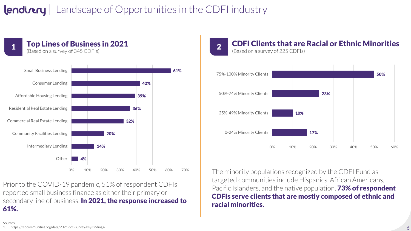### **Lendirtry** | Landscape of Opportunities in the CDFI industry



Prior to the COVID-19 pandemic, 51% of respondent CDFIs reported small business finance as either their primary or secondary line of business. In 2021, the response increased to 61%.

#### CDFI Clients that are Racial or Ethnic Minorities **2 CDFI CHEIRS GRAVE**<br>(Based on a survey of 225 CDFIs)



The minority populations recognized by the CDFI Fund as targeted communities include Hispanics, African Americans, Pacific Islanders, and the native population. **73% of respondent** CDFIs serve clients that are mostly composed of ethnic and racial minorities.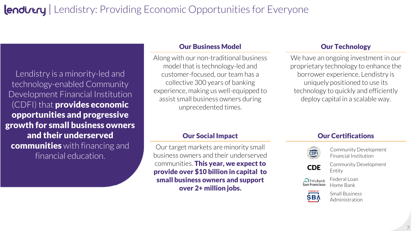### lendivery | Lendistry: Providing Economic Opportunities for Everyone

Lendistry is a minority-led and technology-enabled Community Development Financial Institution (CDFI) that **provides economic** opportunities and progressive growth for small business owners and their underserved **communities** with financing and financial education.

#### **Our Business Model Contract Contract Contract Contract Contract Our Technology**

Along with our non-traditional business model that is technology-led and customer-focused, our team has a collective 300 years of banking experience, making us well-equipped to assist small business owners during unprecedented times.

 $\overline{\phantom{a}}$   $\overline{\phantom{a}}$   $\overline{\phantom{a}}$   $\overline{\phantom{a}}$   $\overline{\phantom{a}}$   $\overline{\phantom{a}}$   $\overline{\phantom{a}}$   $\overline{\phantom{a}}$   $\overline{\phantom{a}}$   $\overline{\phantom{a}}$   $\overline{\phantom{a}}$   $\overline{\phantom{a}}$   $\overline{\phantom{a}}$   $\overline{\phantom{a}}$   $\overline{\phantom{a}}$   $\overline{\phantom{a}}$   $\overline{\phantom{a}}$   $\overline{\phantom{a}}$   $\overline{\$ proprietary technology to enhance the underlying difference. Lendistry is uniquely positioned to use its deploy capital in a scalable way. We have an ongoing investment in our technology to quickly and efficiently

Our target markets are minority small business owners and their underserved communities. This year, we expect to provide over \$10 billion in capital to small business owners and support over 2+ million jobs.

#### **Our Social Impact Current Course Current Current Current Current Current Current Current Current Current Current Current Current Current Current Current Current Current Current Current Current Current Current Current Curr**



all **South Community Development** red to the manufacture of the hand relationships relationships,  $\epsilon$ 

**CDE** Community Development

 $P_{\text{max}}$  and  $P_{\text{max}}$  reliant on  $P_{\text{max}}$  are more reliant on  $P_{\text{max}}$  and  $P_{\text{max}}$  are more reliant on  $P_{\text{max}}$  and  $P_{\text{max}}$  are more reliant on  $P_{\text{max}}$  and  $P_{\text{max}}$  are more reliant on  $P_{\text{max}}$  and  $P_{\text{max}}$ 

AlfHLBank Ludial Lud<br>**ian Francisco** Home Bank Federal Loan

Entity



Small Business Administration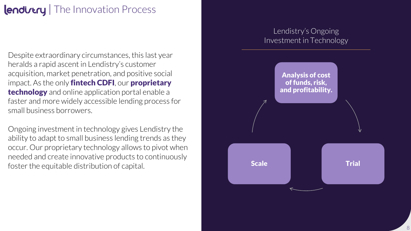### lendivery | The Innovation Process

Despite extraordinary circumstances, this last year heralds a rapid ascent in Lendistry's customer acquisition, market penetration, and positive social impact. As the only **fintech CDFI**, our **proprietary technology** and online application portal enable a faster and more widely accessible lending process for small business borrowers.

Ongoing investment in technology gives Lendistry the ability to adapt to small business lending trends as they occur. Our proprietary technology allows to pivot when needed and create innovative products to continuously foster the equitable distribution of capital.

### Lendistry's Ongoing Investment in Technology

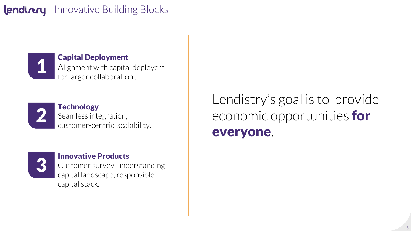### **Iendirtry** | Innovative Building Blocks



#### Capital Deployment

Alignment with capital deployers for larger collaboration .



**Technology** Seamless integration, customer-centric, scalability.



#### Innovative Products

Customer survey, understanding capital landscape, responsible capital stack.

Lendistry's goal is to provide economic opportunities for everyone.